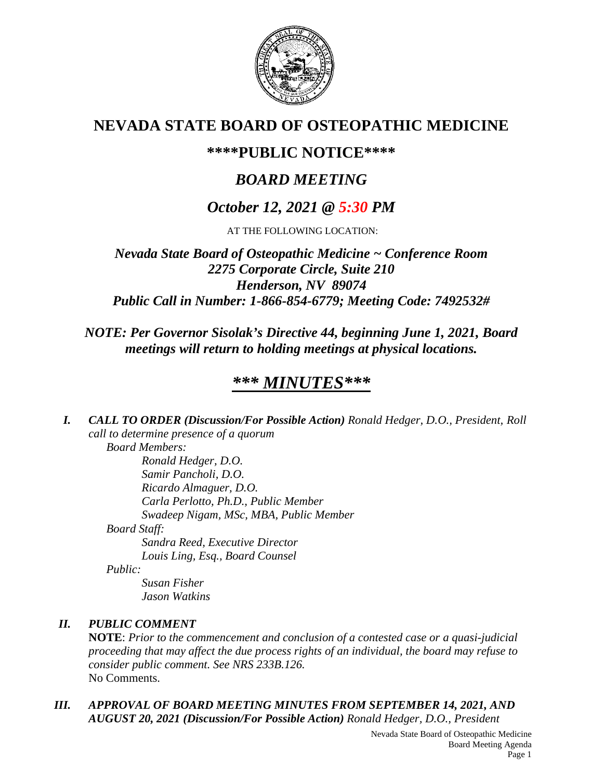

## **NEVADA STATE BOARD OF OSTEOPATHIC MEDICINE**

## **\*\*\*\*PUBLIC NOTICE\*\*\*\***

# *BOARD MEETING*

## *October 12, 2021 @ 5:30 PM*

AT THE FOLLOWING LOCATION:

*Nevada State Board of Osteopathic Medicine ~ Conference Room 2275 Corporate Circle, Suite 210 Henderson, NV 89074 Public Call in Number: 1-866-854-6779; Meeting Code: 7492532#*

## *NOTE: Per Governor Sisolak's Directive 44, beginning June 1, 2021, Board meetings will return to holding meetings at physical locations.*

# *\*\*\* MINUTES\*\*\**

*I. CALL TO ORDER (Discussion/For Possible Action) Ronald Hedger, D.O., President, Roll call to determine presence of a quorum Board Members:*

*Ronald Hedger, D.O. Samir Pancholi, D.O. Ricardo Almaguer, D.O. Carla Perlotto, Ph.D., Public Member Swadeep Nigam, MSc, MBA, Public Member Board Staff: Sandra Reed, Executive Director*

*Louis Ling, Esq., Board Counsel*

*Public:*

*Susan Fisher Jason Watkins*

### *II. PUBLIC COMMENT*

**NOTE**: *Prior to the commencement and conclusion of a contested case or a quasi-judicial proceeding that may affect the due process rights of an individual, the board may refuse to consider public comment. See NRS 233B.126.* No Comments.

### *III. APPROVAL OF BOARD MEETING MINUTES FROM SEPTEMBER 14, 2021, AND AUGUST 20, 2021 (Discussion/For Possible Action) Ronald Hedger, D.O., President*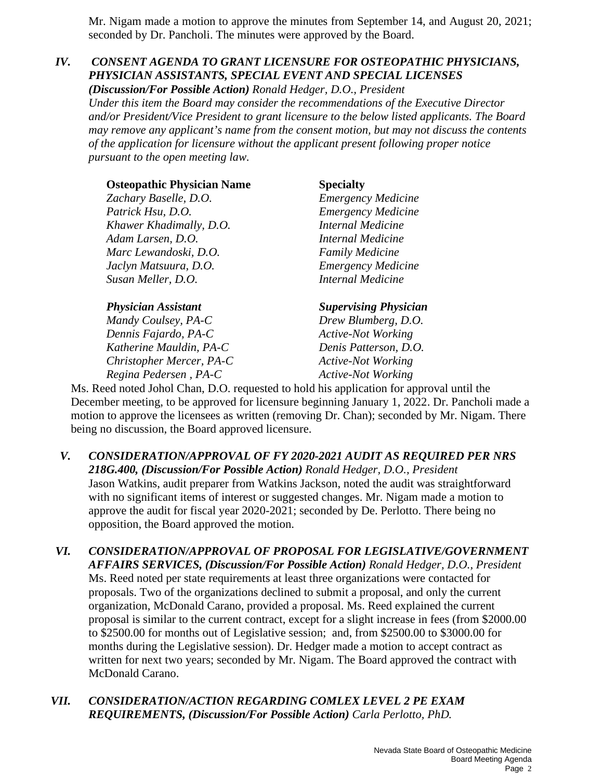Mr. Nigam made a motion to approve the minutes from September 14, and August 20, 2021; seconded by Dr. Pancholi. The minutes were approved by the Board.

### *IV. CONSENT AGENDA TO GRANT LICENSURE FOR OSTEOPATHIC PHYSICIANS, PHYSICIAN ASSISTANTS, SPECIAL EVENT AND SPECIAL LICENSES*

*(Discussion/For Possible Action) Ronald Hedger, D.O., President Under this item the Board may consider the recommendations of the Executive Director and/or President/Vice President to grant licensure to the below listed applicants. The Board may remove any applicant's name from the consent motion, but may not discuss the contents of the application for licensure without the applicant present following proper notice pursuant to the open meeting law.*

| <b>Osteopathic Physician Name</b> | <b>Specialty</b>             |
|-----------------------------------|------------------------------|
| Zachary Baselle, D.O.             | <b>Emergency Medicine</b>    |
| Patrick Hsu, D.O.                 | <b>Emergency Medicine</b>    |
| Khawer Khadimally, D.O.           | <b>Internal Medicine</b>     |
| Adam Larsen, D.O.                 | <b>Internal Medicine</b>     |
| Marc Lewandoski, D.O.             | <b>Family Medicine</b>       |
| Jaclyn Matsuura, D.O.             | <b>Emergency Medicine</b>    |
| Susan Meller, D.O.                | <b>Internal Medicine</b>     |
| <b>Physician Assistant</b>        | <b>Supervising Physician</b> |
| Mandy Coulsey, PA-C               | Drew Blumberg, D.O.          |

*Dennis Fajardo, PA-C Active-Not Working Katherine Mauldin, PA-C Denis Patterson, D.O. Christopher Mercer, PA-C Active-Not Working Regina Pedersen*, *PA-C Active-Not Working* 

Ms. Reed noted Johol Chan, D.O. requested to hold his application for approval until the December meeting, to be approved for licensure beginning January 1, 2022. Dr. Pancholi made a motion to approve the licensees as written (removing Dr. Chan); seconded by Mr. Nigam. There being no discussion, the Board approved licensure.

- *V. CONSIDERATION/APPROVAL OF FY 2020-2021 AUDIT AS REQUIRED PER NRS 218G.400, (Discussion/For Possible Action) Ronald Hedger, D.O., President* Jason Watkins, audit preparer from Watkins Jackson, noted the audit was straightforward with no significant items of interest or suggested changes. Mr. Nigam made a motion to approve the audit for fiscal year 2020-2021; seconded by De. Perlotto. There being no opposition, the Board approved the motion.
- *VI. CONSIDERATION/APPROVAL OF PROPOSAL FOR LEGISLATIVE/GOVERNMENT AFFAIRS SERVICES, (Discussion/For Possible Action) Ronald Hedger, D.O., President* Ms. Reed noted per state requirements at least three organizations were contacted for proposals. Two of the organizations declined to submit a proposal, and only the current organization, McDonald Carano, provided a proposal. Ms. Reed explained the current proposal is similar to the current contract, except for a slight increase in fees (from \$2000.00 to \$2500.00 for months out of Legislative session; and, from \$2500.00 to \$3000.00 for months during the Legislative session). Dr. Hedger made a motion to accept contract as written for next two years; seconded by Mr. Nigam. The Board approved the contract with McDonald Carano.
- *VII. CONSIDERATION/ACTION REGARDING COMLEX LEVEL 2 PE EXAM REQUIREMENTS, (Discussion/For Possible Action) Carla Perlotto, PhD.*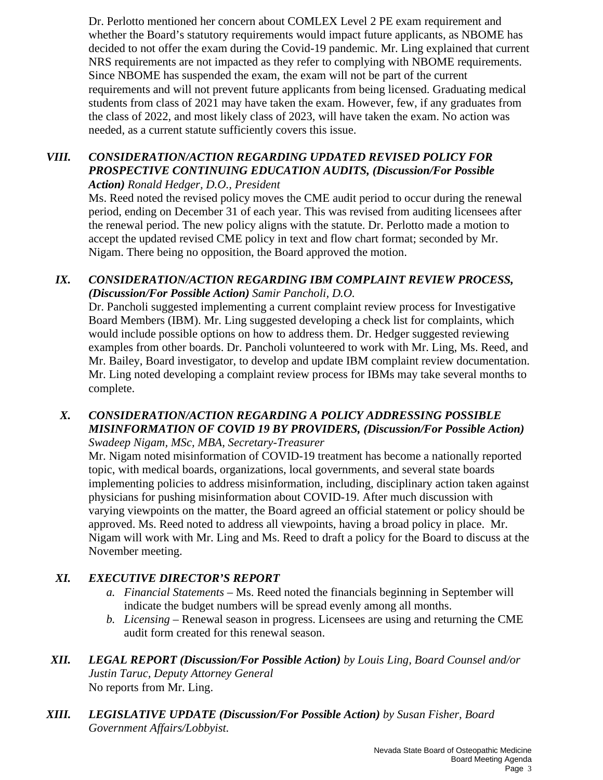Dr. Perlotto mentioned her concern about COMLEX Level 2 PE exam requirement and whether the Board's statutory requirements would impact future applicants, as NBOME has decided to not offer the exam during the Covid-19 pandemic. Mr. Ling explained that current NRS requirements are not impacted as they refer to complying with NBOME requirements. Since NBOME has suspended the exam, the exam will not be part of the current requirements and will not prevent future applicants from being licensed. Graduating medical students from class of 2021 may have taken the exam. However, few, if any graduates from the class of 2022, and most likely class of 2023, will have taken the exam. No action was needed, as a current statute sufficiently covers this issue.

#### *VIII. CONSIDERATION/ACTION REGARDING UPDATED REVISED POLICY FOR PROSPECTIVE CONTINUING EDUCATION AUDITS, (Discussion/For Possible Action) Ronald Hedger, D.O., President*

Ms. Reed noted the revised policy moves the CME audit period to occur during the renewal period, ending on December 31 of each year. This was revised from auditing licensees after the renewal period. The new policy aligns with the statute. Dr. Perlotto made a motion to accept the updated revised CME policy in text and flow chart format; seconded by Mr. Nigam. There being no opposition, the Board approved the motion.

### *IX. CONSIDERATION/ACTION REGARDING IBM COMPLAINT REVIEW PROCESS, (Discussion/For Possible Action) Samir Pancholi, D.O.*

Dr. Pancholi suggested implementing a current complaint review process for Investigative Board Members (IBM). Mr. Ling suggested developing a check list for complaints, which would include possible options on how to address them. Dr. Hedger suggested reviewing examples from other boards. Dr. Pancholi volunteered to work with Mr. Ling, Ms. Reed, and Mr. Bailey, Board investigator, to develop and update IBM complaint review documentation. Mr. Ling noted developing a complaint review process for IBMs may take several months to complete.

#### *X. CONSIDERATION/ACTION REGARDING A POLICY ADDRESSING POSSIBLE MISINFORMATION OF COVID 19 BY PROVIDERS, (Discussion/For Possible Action) Swadeep Nigam, MSc, MBA, Secretary-Treasurer*

Mr. Nigam noted misinformation of COVID-19 treatment has become a nationally reported topic, with medical boards, organizations, local governments, and several state boards implementing policies to address misinformation, including, disciplinary action taken against physicians for pushing misinformation about COVID-19. After much discussion with varying viewpoints on the matter, the Board agreed an official statement or policy should be approved. Ms. Reed noted to address all viewpoints, having a broad policy in place. Mr. Nigam will work with Mr. Ling and Ms. Reed to draft a policy for the Board to discuss at the November meeting.

### *XI. EXECUTIVE DIRECTOR'S REPORT*

- *a. Financial Statements* Ms. Reed noted the financials beginning in September will indicate the budget numbers will be spread evenly among all months.
- *b. Licensing* Renewal season in progress. Licensees are using and returning the CME audit form created for this renewal season.
- *XII. LEGAL REPORT (Discussion/For Possible Action) by Louis Ling, Board Counsel and/or Justin Taruc, Deputy Attorney General* No reports from Mr. Ling.
- *XIII. LEGISLATIVE UPDATE (Discussion/For Possible Action) by Susan Fisher, Board Government Affairs/Lobbyist.*